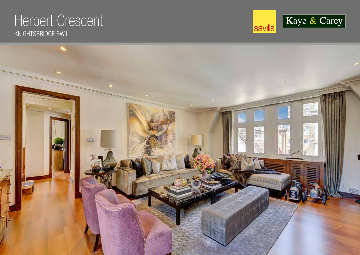# Herbert Crescent KNIGHTSBRIDGE SW1



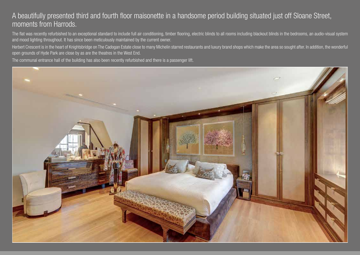## A beautifully presented third and fourth floor maisonette in a handsome period building situated just off Sloane Street, moments from Harrods.

The flat was recently refurbished to an exceptional standard to include full air conditioning, timber flooring, electric blinds to all rooms including blackout blinds in the bedrooms, an audio-visual system and mood lighting throughout. It has since been meticulously maintained by the current owner.

Herbert Crescent is in the heart of Knightsbridge on The Cadogan Estate close to many Michelin starred restaurants and luxury brand shops which make the area so sought after. In addition, the wonderful open grounds of Hyde Park are close by as are the theatres in the West End.

The communal entrance hall of the building has also been recently refurbished and there is a passenger lift.

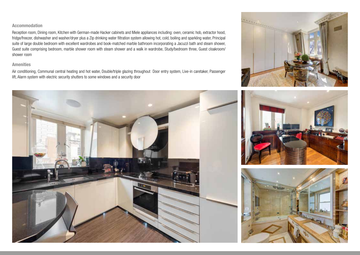#### **Accommodation**

Reception room, Dining room, Kitchen with German-made Hacker cabinets and Miele appliances including: oven, ceramic hob, extractor hood, fridge/freezer, dishwasher and washer/dryer plus a Zip drinking water filtration system allowing hot, cold, boiling and sparkling water, Principal suite of large double bedroom with excellent wardrobes and book-matched marble bathroom incorporating a Jacuzzi bath and steam shower, Guest suite comprising bedroom, marble shower room with steam shower and a walk in wardrobe, Study/bedroom three, Guest cloakroom/ shower room

#### **Amenities**

Air conditioning, Communal central heating and hot water, Double/triple glazing throughout Door entry system, Live-in caretaker, Passenger lift, Alarm system with electric security shutters to some windows and a security door